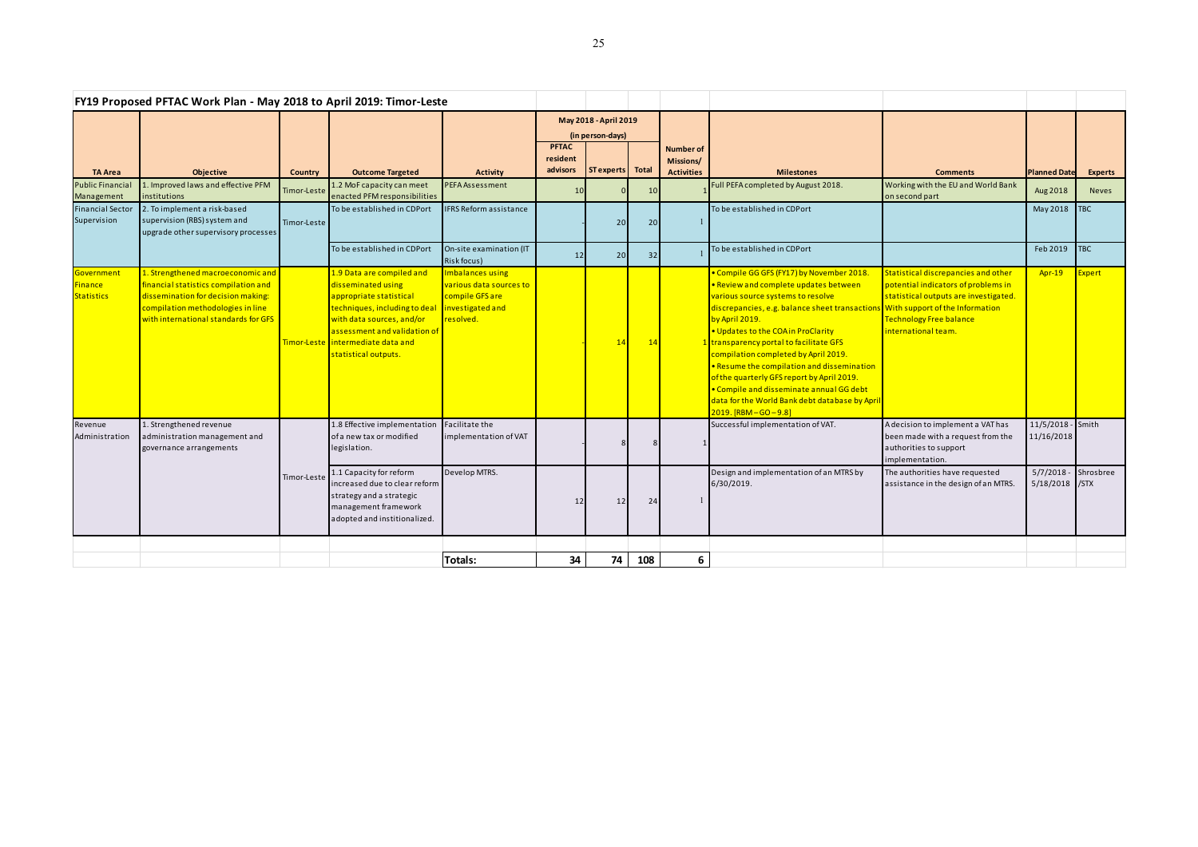| FY19 Proposed PFTAC Work Plan - May 2018 to April 2019: Timor-Leste |                                                                                                                                                                                              |                |                                                                                                                                                                                                                                       |                                                                                                 |                                           |                   |       |                               |                                                                                                                                                                                                                                                                                                                                                                                                                                                                                                                                                                            |                                                                                                                                                                              |                            |                |
|---------------------------------------------------------------------|----------------------------------------------------------------------------------------------------------------------------------------------------------------------------------------------|----------------|---------------------------------------------------------------------------------------------------------------------------------------------------------------------------------------------------------------------------------------|-------------------------------------------------------------------------------------------------|-------------------------------------------|-------------------|-------|-------------------------------|----------------------------------------------------------------------------------------------------------------------------------------------------------------------------------------------------------------------------------------------------------------------------------------------------------------------------------------------------------------------------------------------------------------------------------------------------------------------------------------------------------------------------------------------------------------------------|------------------------------------------------------------------------------------------------------------------------------------------------------------------------------|----------------------------|----------------|
|                                                                     |                                                                                                                                                                                              |                |                                                                                                                                                                                                                                       |                                                                                                 | May 2018 - April 2019<br>(in person-days) |                   |       |                               |                                                                                                                                                                                                                                                                                                                                                                                                                                                                                                                                                                            |                                                                                                                                                                              |                            |                |
|                                                                     |                                                                                                                                                                                              |                |                                                                                                                                                                                                                                       |                                                                                                 | <b>PFTAC</b><br>resident<br>advisors      | <b>ST</b> experts | Total | <b>Number of</b><br>Missions/ |                                                                                                                                                                                                                                                                                                                                                                                                                                                                                                                                                                            |                                                                                                                                                                              |                            |                |
| <b>TA Area</b><br>Public Financial                                  | <b>Objective</b><br>1. Improved laws and effective PFM                                                                                                                                       | <b>Country</b> | <b>Outcome Targeted</b><br>1.2 MoF capacity can meet                                                                                                                                                                                  | <b>Activity</b><br>PEFA Assessment                                                              |                                           |                   |       | <b>Activities</b>             | <b>Milestones</b><br>Full PEFA completed by August 2018.                                                                                                                                                                                                                                                                                                                                                                                                                                                                                                                   | <b>Comments</b><br>Working with the EU and World Bank                                                                                                                        | <b>Planned Date</b>        | <b>Experts</b> |
| Management                                                          | institutions                                                                                                                                                                                 | Timor-Leste    | enacted PFM responsibilities                                                                                                                                                                                                          |                                                                                                 | 10                                        |                   | 10    |                               |                                                                                                                                                                                                                                                                                                                                                                                                                                                                                                                                                                            | on second part                                                                                                                                                               | Aug 2018                   | <b>Neves</b>   |
| <b>Financial Sector</b><br>Supervision                              | 2. To implement a risk-based<br>supervision (RBS) system and<br>upgrade other supervisory processes                                                                                          | Timor-Leste    | To be established in CDPort                                                                                                                                                                                                           | <b>IFRS Reform assistance</b>                                                                   |                                           | 20                | 20    |                               | To be established in CDPort                                                                                                                                                                                                                                                                                                                                                                                                                                                                                                                                                |                                                                                                                                                                              | May 2018                   | <b>TBC</b>     |
|                                                                     |                                                                                                                                                                                              |                | To be established in CDPort                                                                                                                                                                                                           | On-site examination (IT<br>Risk focus)                                                          | 12                                        | 20                | 32    |                               | To be established in CDPort                                                                                                                                                                                                                                                                                                                                                                                                                                                                                                                                                |                                                                                                                                                                              | Feb 2019                   | <b>TBC</b>     |
| Government<br>Finance<br><b>Statistics</b>                          | 1. Strengthened macroeconomic and<br>financial statistics compilation and<br>dissemination for decision making:<br>compilation methodologies in line<br>with international standards for GFS |                | 1.9 Data are compiled and<br>disseminated using<br>appropriate statistical<br>techniques, including to deal<br>with data sources, and/or<br>assessment and validation of<br>Timor-Leste intermediate data and<br>statistical outputs. | Imbalances using<br>various data sources to<br>compile GFS are<br>investigated and<br>resolved. |                                           | 14                | 14    |                               | • Compile GG GFS (FY17) by November 2018.<br>• Review and complete updates between<br>various source systems to resolve<br>discrepancies, e.g. balance sheet transactions With support of the Information<br>by April 2019.<br>. Updates to the COA in ProClarity<br>. transparency portal to facilitate GFS<br>compilation completed by April 2019.<br>. Resume the compilation and dissemination<br>of the quarterly GFS report by April 2019.<br>• Compile and disseminate annual GG debt<br>data for the World Bank debt database by April<br>$2019. [RBM - GO - 9.8]$ | Statistical discrepancies and other<br>potential indicators of problems in<br>statistical outputs are investigated.<br><b>Technology Free balance</b><br>international team. | <b>Apr-19</b>              | Expert         |
| Revenue<br>Administration                                           | 1. Strengthened revenue<br>administration management and<br>governance arrangements                                                                                                          |                | 1.8 Effective implementation<br>of a new tax or modified<br>legislation.                                                                                                                                                              | Facilitate the<br>implementation of VAT                                                         |                                           |                   |       |                               | Successful implementation of VAT.                                                                                                                                                                                                                                                                                                                                                                                                                                                                                                                                          | A decision to implement a VAT has<br>been made with a request from the<br>authorities to support<br>implementation.                                                          | 11/5/2018<br>11/16/2018    | - Smith        |
|                                                                     |                                                                                                                                                                                              | Timor-Leste    | 1.1 Capacity for reform<br>ncreased due to clear reform<br>strategy and a strategic<br>management framework<br>adopted and institionalized.                                                                                           | Develop MTRS.                                                                                   | 12                                        | 12                | 24    |                               | Design and implementation of an MTRS by<br>6/30/2019.                                                                                                                                                                                                                                                                                                                                                                                                                                                                                                                      | The authorities have requested<br>assistance in the design of an MTRS.                                                                                                       | 5/7/2018<br>5/18/2018 /STX | Shrosbree      |
|                                                                     |                                                                                                                                                                                              |                |                                                                                                                                                                                                                                       |                                                                                                 |                                           |                   |       |                               |                                                                                                                                                                                                                                                                                                                                                                                                                                                                                                                                                                            |                                                                                                                                                                              |                            |                |
|                                                                     |                                                                                                                                                                                              |                |                                                                                                                                                                                                                                       | Totals:                                                                                         | 34                                        | 74                | 108   | 6                             |                                                                                                                                                                                                                                                                                                                                                                                                                                                                                                                                                                            |                                                                                                                                                                              |                            |                |